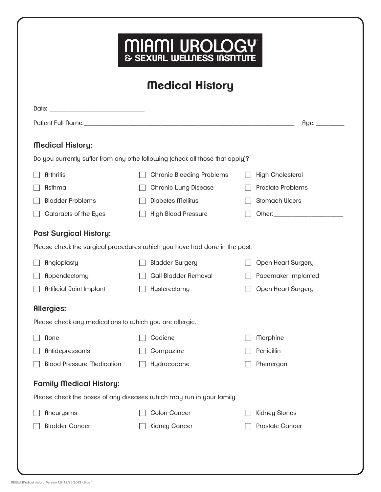| <b>Medical History</b>                                  |                                                                               |                         |
|---------------------------------------------------------|-------------------------------------------------------------------------------|-------------------------|
|                                                         |                                                                               |                         |
|                                                         |                                                                               | Age:                    |
| <b>Medical History:</b>                                 |                                                                               |                         |
|                                                         | Do you currently suffer from any othe following (check all those that apply)? |                         |
| <b>Arthritis</b>                                        | <b>Chronic Bleeding Problems</b>                                              | <b>High Cholesterol</b> |
| <b>Asthma</b>                                           | Chronic Lung Disease                                                          | Prostate Problems       |
| <b>Bladder Problems</b>                                 | Diabetes Mellitus                                                             | Stomach Ulcers          |
| Cataracts of the Eyes                                   | <b>High Blood Pressure</b>                                                    |                         |
| <b>Past Surgical History:</b>                           |                                                                               |                         |
|                                                         | Please check the surgical procedures which you have had done in the past.     |                         |
| Angioplasty                                             | <b>Bladder Surgery</b>                                                        | Open Heart Surgery      |
| Appendectomy                                            | Gall Bladder Removal                                                          | Pacemaker Implanted     |
| <b>Artificial Joint Implant</b>                         | Hysterectomy                                                                  | Open Heart Surgery      |
| <b>Allergies:</b>                                       |                                                                               |                         |
| Please check any medications to which you are allergic. |                                                                               |                         |
| <b>None</b>                                             | Codiene                                                                       | Morphine                |
| Antidepressants                                         | Compazine                                                                     | Penicillin              |
| <b>Blood Pressure Medication</b>                        | Hydrocodone                                                                   | Phenergan               |
| <b>Family Medical History:</b>                          |                                                                               |                         |
|                                                         | Please check the boxes of any diseases which may run in your family.          |                         |
| Aneurysms                                               | Colon Cancer                                                                  | Kidney Stones           |
| <b>Bladder Cancer</b>                                   | Kidney Cancer                                                                 | Prostate Cancer         |